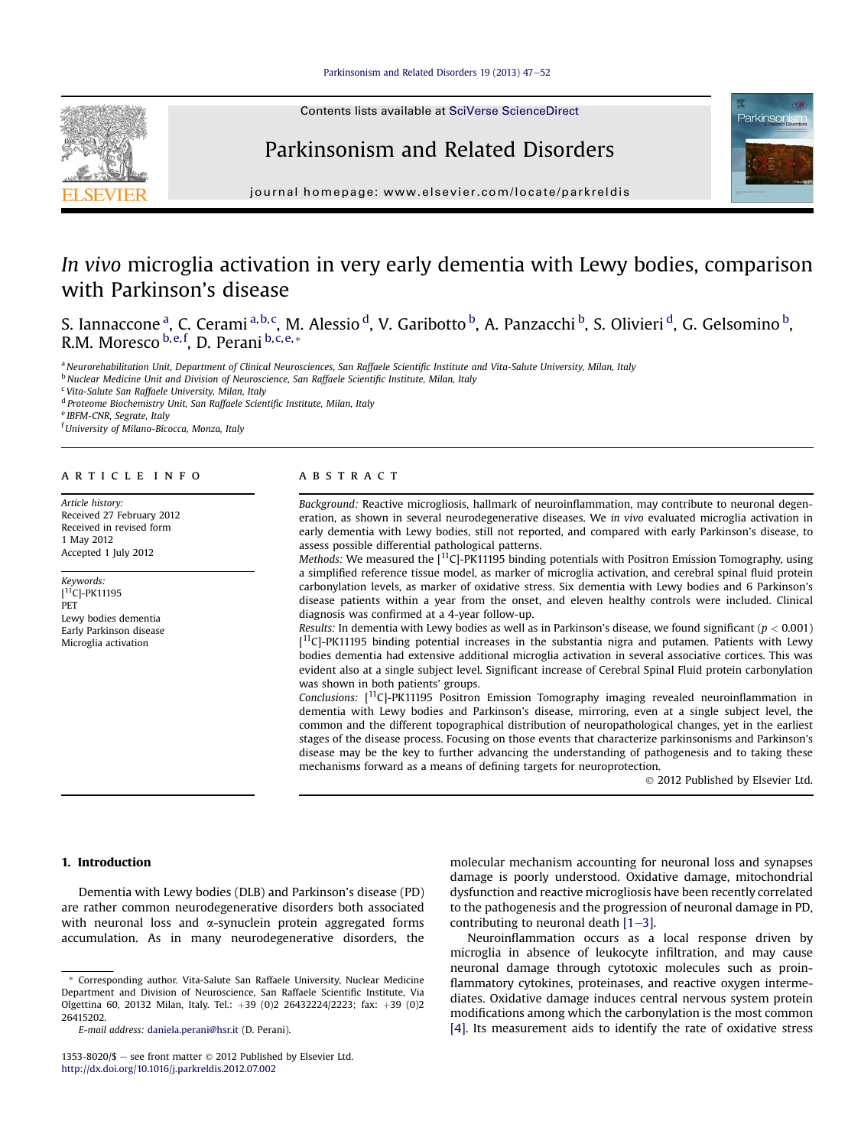Contents lists available at [SciVerse ScienceDirect](www.sciencedirect.com/science/journal/13538020)

# Parkinsonism and Related Disorders



journal homepage: [www.elsevier.com/locate/parkreldis](http://www.elsevier.com/locate/parkreldis)

# In vivo microglia activation in very early dementia with Lewy bodies, comparison with Parkinson's disease

S. Iannaccone <sup>a</sup>, C. Cerami <sup>a,b,c</sup>, M. Alessio <sup>d</sup>, V. Garibotto <sup>b</sup>, A. Panzacchi <sup>b</sup>, S. Olivieri <sup>d</sup>, G. Gelsomino <sup>b</sup>, R.M. Moresco <sup>b, e, f</sup>, D. Perani <sup>b, c, e, \*</sup>

a Neurorehabilitation Unit, Department of Clinical Neurosciences, San Raffaele Scientific Institute and Vita-Salute University, Milan, Italy

<sup>b</sup> Nuclear Medicine Unit and Division of Neuroscience, San Raffaele Scientific Institute, Milan, Italy

<sup>c</sup> Vita-Salute San Raffaele University, Milan, Italy

<sup>d</sup> Proteome Biochemistry Unit, San Raffaele Scientific Institute, Milan, Italy

<sup>e</sup> IBFM-CNR, Segrate, Italy

<sup>f</sup> University of Milano-Bicocca, Monza, Italy

# article info

Article history: Received 27 February 2012 Received in revised form 1 May 2012 Accepted 1 July 2012

Keywords: [ 11C]-PK11195 PET Lewy bodies dementia Early Parkinson disease Microglia activation

## **ABSTRACT**

Background: Reactive microgliosis, hallmark of neuroinflammation, may contribute to neuronal degeneration, as shown in several neurodegenerative diseases. We in vivo evaluated microglia activation in early dementia with Lewy bodies, still not reported, and compared with early Parkinson's disease, to assess possible differential pathological patterns.

Methods: We measured the  $[11C]$ -PK11195 binding potentials with Positron Emission Tomography, using a simplified reference tissue model, as marker of microglia activation, and cerebral spinal fluid protein carbonylation levels, as marker of oxidative stress. Six dementia with Lewy bodies and 6 Parkinson's disease patients within a year from the onset, and eleven healthy controls were included. Clinical diagnosis was confirmed at a 4-year follow-up.

Results: In dementia with Lewy bodies as well as in Parkinson's disease, we found significant ( $p < 0.001$ ) [<sup>11</sup>C]-PK11195 binding potential increases in the substantia nigra and putamen. Patients with Lewy bodies dementia had extensive additional microglia activation in several associative cortices. This was evident also at a single subject level. Significant increase of Cerebral Spinal Fluid protein carbonylation was shown in both patients' groups.

Conclusions:  $[$ <sup>11</sup>C<sub>J</sub>-PK11195 Positron Emission Tomography imaging revealed neuroinflammation in dementia with Lewy bodies and Parkinson's disease, mirroring, even at a single subject level, the common and the different topographical distribution of neuropathological changes, yet in the earliest stages of the disease process. Focusing on those events that characterize parkinsonisms and Parkinson's disease may be the key to further advancing the understanding of pathogenesis and to taking these mechanisms forward as a means of defining targets for neuroprotection.

2012 Published by Elsevier Ltd.

# 1. Introduction

Dementia with Lewy bodies (DLB) and Parkinson's disease (PD) are rather common neurodegenerative disorders both associated with neuronal loss and  $\alpha$ -synuclein protein aggregated forms accumulation. As in many neurodegenerative disorders, the

E-mail address: [daniela.perani@hsr.it](mailto:daniela.perani@hsr.it) (D. Perani).

molecular mechanism accounting for neuronal loss and synapses damage is poorly understood. Oxidative damage, mitochondrial dysfunction and reactive microgliosis have been recently correlated to the pathogenesis and the progression of neuronal damage in PD, contributing to neuronal death  $[1-3]$  $[1-3]$  $[1-3]$ .

Neuroinflammation occurs as a local response driven by microglia in absence of leukocyte infiltration, and may cause neuronal damage through cytotoxic molecules such as proinflammatory cytokines, proteinases, and reactive oxygen intermediates. Oxidative damage induces central nervous system protein modifications among which the carbonylation is the most common [\[4\]](#page-4-0). Its measurement aids to identify the rate of oxidative stress

<sup>\*</sup> Corresponding author. Vita-Salute San Raffaele University, Nuclear Medicine Department and Division of Neuroscience, San Raffaele Scientific Institute, Via Olgettina 60, 20132 Milan, Italy. Tel.: +39 (0)2 26432224/2223; fax: +39 (0)2 26415202.

<sup>1353-8020/\$ -</sup> see front matter  $\odot$  2012 Published by Elsevier Ltd. <http://dx.doi.org/10.1016/j.parkreldis.2012.07.002>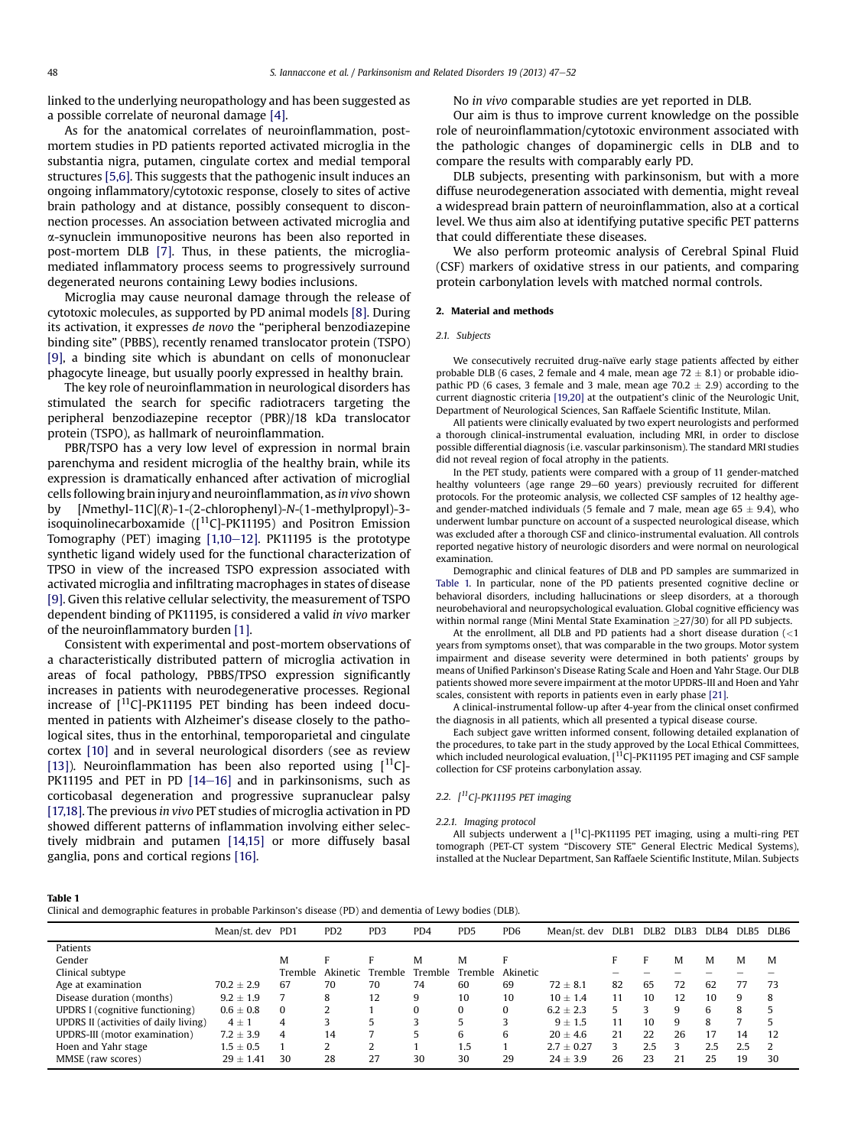<span id="page-1-0"></span>linked to the underlying neuropathology and has been suggested as a possible correlate of neuronal damage [\[4\]](#page-4-0).

As for the anatomical correlates of neuroinflammation, postmortem studies in PD patients reported activated microglia in the substantia nigra, putamen, cingulate cortex and medial temporal structures [\[5,6\].](#page-4-0) This suggests that the pathogenic insult induces an ongoing inflammatory/cytotoxic response, closely to sites of active brain pathology and at distance, possibly consequent to disconnection processes. An association between activated microglia and a-synuclein immunopositive neurons has been also reported in post-mortem DLB [\[7\].](#page-5-0) Thus, in these patients, the microgliamediated inflammatory process seems to progressively surround degenerated neurons containing Lewy bodies inclusions.

Microglia may cause neuronal damage through the release of cytotoxic molecules, as supported by PD animal models [\[8\].](#page-5-0) During its activation, it expresses de novo the "peripheral benzodiazepine binding site" (PBBS), recently renamed translocator protein (TSPO) [\[9\]](#page-5-0), a binding site which is abundant on cells of mononuclear phagocyte lineage, but usually poorly expressed in healthy brain.

The key role of neuroinflammation in neurological disorders has stimulated the search for specific radiotracers targeting the peripheral benzodiazepine receptor (PBR)/18 kDa translocator protein (TSPO), as hallmark of neuroinflammation.

PBR/TSPO has a very low level of expression in normal brain parenchyma and resident microglia of the healthy brain, while its expression is dramatically enhanced after activation of microglial cells following brain injury and neuroinflammation, as in vivo shown by [Nmethyl-11C](R)-1-(2-chlorophenyl)-N-(1-methylpropyl)-3 isoquinolinecarboxamide ( $[$ <sup>11</sup>C]-PK11195) and Positron Emission Tomography (PET) imaging  $[1,10-12]$  $[1,10-12]$  $[1,10-12]$ . PK11195 is the prototype synthetic ligand widely used for the functional characterization of TPSO in view of the increased TSPO expression associated with activated microglia and infiltrating macrophages in states of disease [\[9\]](#page-5-0). Given this relative cellular selectivity, the measurement of TSPO dependent binding of PK11195, is considered a valid in vivo marker of the neuroinflammatory burden [\[1\].](#page-4-0)

Consistent with experimental and post-mortem observations of a characteristically distributed pattern of microglia activation in areas of focal pathology, PBBS/TPSO expression significantly increases in patients with neurodegenerative processes. Regional increase of  $\int_0^{11}$ C]-PK11195 PET binding has been indeed documented in patients with Alzheimer's disease closely to the pathological sites, thus in the entorhinal, temporoparietal and cingulate cortex [\[10\]](#page-5-0) and in several neurological disorders (see as review [\[13\]\)](#page-5-0). Neuroinflammation has been also reported using  $[11C]$ -PK11195 and PET in PD  $[14-16]$  $[14-16]$  $[14-16]$  and in parkinsonisms, such as corticobasal degeneration and progressive supranuclear palsy [\[17,18\].](#page-5-0) The previous in vivo PET studies of microglia activation in PD showed different patterns of inflammation involving either selectively midbrain and putamen [\[14,15\]](#page-5-0) or more diffusely basal ganglia, pons and cortical regions [\[16\]](#page-5-0).

No in vivo comparable studies are yet reported in DLB.

Our aim is thus to improve current knowledge on the possible role of neuroinflammation/cytotoxic environment associated with the pathologic changes of dopaminergic cells in DLB and to compare the results with comparably early PD.

DLB subjects, presenting with parkinsonism, but with a more diffuse neurodegeneration associated with dementia, might reveal a widespread brain pattern of neuroinflammation, also at a cortical level. We thus aim also at identifying putative specific PET patterns that could differentiate these diseases.

We also perform proteomic analysis of Cerebral Spinal Fluid (CSF) markers of oxidative stress in our patients, and comparing protein carbonylation levels with matched normal controls.

#### 2. Material and methods

## 2.1. Subjects

We consecutively recruited drug-naïve early stage patients affected by either probable DLB (6 cases, 2 female and 4 male, mean age  $72 \pm 8.1$ ) or probable idiopathic PD (6 cases, 3 female and 3 male, mean age  $70.2 \pm 2.9$ ) according to the current diagnostic criteria [\[19,20\]](#page-5-0) at the outpatient's clinic of the Neurologic Unit, Department of Neurological Sciences, San Raffaele Scientific Institute, Milan.

All patients were clinically evaluated by two expert neurologists and performed a thorough clinical-instrumental evaluation, including MRI, in order to disclose possible differential diagnosis (i.e. vascular parkinsonism). The standard MRI studies did not reveal region of focal atrophy in the patients.

In the PET study, patients were compared with a group of 11 gender-matched healthy volunteers (age range 29-60 years) previously recruited for different protocols. For the proteomic analysis, we collected CSF samples of 12 healthy ageand gender-matched individuals (5 female and 7 male, mean age  $65 \pm 9.4$ ), who underwent lumbar puncture on account of a suspected neurological disease, which was excluded after a thorough CSF and clinico-instrumental evaluation. All controls reported negative history of neurologic disorders and were normal on neurological examination.

Demographic and clinical features of DLB and PD samples are summarized in Table 1. In particular, none of the PD patients presented cognitive decline or behavioral disorders, including hallucinations or sleep disorders, at a thorough neurobehavioral and neuropsychological evaluation. Global cognitive efficiency was within normal range (Mini Mental State Examination  $\geq$ 27/30) for all PD subjects.

At the enrollment, all DLB and PD patients had a short disease duration  $\left($  < 1 years from symptoms onset), that was comparable in the two groups. Motor system impairment and disease severity were determined in both patients' groups by means of Unified Parkinson's Disease Rating Scale and Hoen and Yahr Stage. Our DLB patients showed more severe impairment at the motor UPDRS-III and Hoen and Yahr scales, consistent with reports in patients even in early phase [\[21\].](#page-5-0)

A clinical-instrumental follow-up after 4-year from the clinical onset confirmed the diagnosis in all patients, which all presented a typical disease course.

Each subject gave written informed consent, following detailed explanation of the procedures, to take part in the study approved by the Local Ethical Committees,<br>which included neurological evaluation, [<sup>11</sup>C]-PK11195 PET imaging and CSF sample collection for CSF proteins carbonylation assay.

# 2.2.  $[$ <sup>11</sup>C]-PK11195 PET imaging

#### 2.2.1. Imaging protocol

All subjects underwent a  $[$ <sup>11</sup>C]-PK11195 PET imaging, using a multi-ring PET tomograph (PET-CT system "Discovery STE" General Electric Medical Systems), installed at the Nuclear Department, San Raffaele Scientific Institute, Milan. Subjects

#### Table 1

Clinical and demographic features in probable Parkinson's disease (PD) and dementia of Lewy bodies (DLB).

|                                       | Mean/st. dev   | PD1            | P <sub>D</sub> <sub>2</sub> | PD <sub>3</sub> | PD4      | P <sub>D5</sub> | PD <sub>6</sub> | Mean/st. dev | DLB <sub>1</sub> | DLB <sub>2</sub> | DLB3 | DLB4 | DLB5 | DLB6 |
|---------------------------------------|----------------|----------------|-----------------------------|-----------------|----------|-----------------|-----------------|--------------|------------------|------------------|------|------|------|------|
| Patients                              |                |                |                             |                 |          |                 |                 |              |                  |                  |      |      |      |      |
| Gender                                |                | м              | F                           | F               | М        | M               | Е               |              | Е                | Е                | м    | M    | M    | M    |
| Clinical subtype                      |                | Tremble        | Akinetic                    | Tremble         | Tremble  | Tremble         | Akinetic        |              |                  |                  |      |      |      |      |
| Age at examination                    | $70.2 \pm 2.9$ | 67             | 70                          | 70              | 74       | 60              | 69              | $72 \pm 8.1$ | 82               | 65               | 72   | 62   | 77   | 73   |
| Disease duration (months)             | $9.2 \pm 1.9$  |                | 8                           | 12              | 9        | 10              | 10              | $10 + 1.4$   | 11               | 10               | 12   | 10   | 9    | 8    |
| UPDRS I (cognitive functioning)       | $0.6 \pm 0.8$  | $\Omega$       |                             |                 | $\Omega$ | $\Omega$        | $\Omega$        | $6.2 + 2.3$  | 5                |                  | q    | 6    | 8    | 5    |
| UPDRS II (activities of daily living) | $4 \pm 1$      | 4              |                             | 5               | 3        |                 | 3               | $9 + 1.5$    | 11               | 10               | q    | 8    |      | 5    |
| UPDRS-III (motor examination)         | $7.2 \pm 3.9$  | $\overline{4}$ | 14                          | 7               | 5        | 6               | 6               | $20 + 4.6$   | 21               | 22               | 26   | 17   | 14   | 12   |
| Hoen and Yahr stage                   | $1.5 \pm 0.5$  |                | C.                          | 2               |          | 1.5             |                 | $2.7 + 0.27$ | 3                | 2.5              |      | 2.5  | 2.5  | 2    |
| MMSE (raw scores)                     | $29 \pm 1.41$  | 30             | 28                          | 27              | 30       | 30              | 29              | $24 \pm 3.9$ | 26               | 23               | 21   | 25   | 19   | 30   |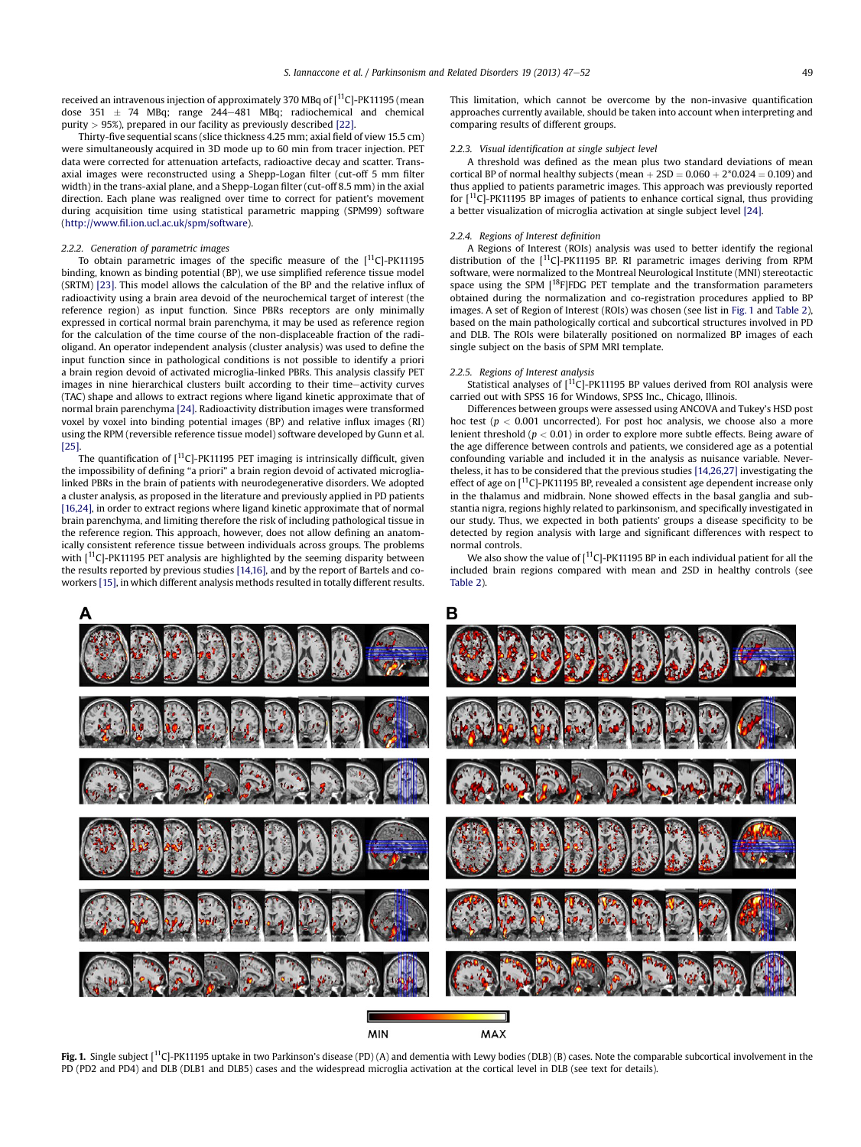<span id="page-2-0"></span>received an intravenous injection of approximately 370 MBq of  $[$ <sup>11</sup>C]-PK11195 (mean dose  $351 \pm 74$  MBq; range  $244-481$  MBq; radiochemical and chemical purity  $> 95\%$ ), prepared in our facility as previously described [\[22\].](#page-5-0)

Thirty-five sequential scans (slice thickness 4.25 mm; axial field of view 15.5 cm) were simultaneously acquired in 3D mode up to 60 min from tracer injection. PET data were corrected for attenuation artefacts, radioactive decay and scatter. Transaxial images were reconstructed using a Shepp-Logan filter (cut-off 5 mm filter width) in the trans-axial plane, and a Shepp-Logan filter (cut-off 8.5 mm) in the axial direction. Each plane was realigned over time to correct for patient's movement during acquisition time using statistical parametric mapping (SPM99) software (http://www.fi[l.ion.ucl.ac.uk/spm/software](http://www.fil.ion.ucl.ac.uk/spm/software)).

#### 2.2.2. Generation of parametric images

To obtain parametric images of the specific measure of the  $[11C]$ -PK11195 binding, known as binding potential (BP), we use simplified reference tissue model (SRTM) [\[23\]](#page-5-0). This model allows the calculation of the BP and the relative influx of radioactivity using a brain area devoid of the neurochemical target of interest (the reference region) as input function. Since PBRs receptors are only minimally expressed in cortical normal brain parenchyma, it may be used as reference region for the calculation of the time course of the non-displaceable fraction of the radioligand. An operator independent analysis (cluster analysis) was used to define the input function since in pathological conditions is not possible to identify a priori a brain region devoid of activated microglia-linked PBRs. This analysis classify PET images in nine hierarchical clusters built according to their time-activity curves (TAC) shape and allows to extract regions where ligand kinetic approximate that of normal brain parenchyma [\[24\].](#page-5-0) Radioactivity distribution images were transformed voxel by voxel into binding potential images (BP) and relative influx images (RI) using the RPM (reversible reference tissue model) software developed by Gunn et al. [\[25\].](#page-5-0)

The quantification of  $\lceil$ <sup>11</sup>C]-PK11195 PET imaging is intrinsically difficult, given the impossibility of defining "a priori" a brain region devoid of activated microglialinked PBRs in the brain of patients with neurodegenerative disorders. We adopted a cluster analysis, as proposed in the literature and previously applied in PD patients [\[16,24\]](#page-5-0), in order to extract regions where ligand kinetic approximate that of normal brain parenchyma, and limiting therefore the risk of including pathological tissue in the reference region. This approach, however, does not allow defining an anatomically consistent reference tissue between individuals across groups. The problems with  $[11C]$ -PK11195 PET analysis are highlighted by the seeming disparity between the results reported by previous studies [\[14,16\],](#page-5-0) and by the report of Bartels and coworkers [\[15\]](#page-5-0), in which different analysis methods resulted in totally different results.

This limitation, which cannot be overcome by the non-invasive quantification approaches currently available, should be taken into account when interpreting and comparing results of different groups.

#### 2.2.3. Visual identification at single subject level

A threshold was defined as the mean plus two standard deviations of mean cortical BP of normal healthy subjects (mean  $+2SD = 0.060 + 2*0.024 = 0.109$ ) and thus applied to patients parametric images. This approach was previously reported for  $[11C]$ -PK11195 BP images of patients to enhance cortical signal, thus providing a better visualization of microglia activation at single subject level [\[24\].](#page-5-0)

#### 2.2.4. Regions of Interest definition

A Regions of Interest (ROIs) analysis was used to better identify the regional distribution of the  $[11C]$ -PK11195 BP. RI parametric images deriving from RPM software, were normalized to the Montreal Neurological Institute (MNI) stereotactic space using the SPM [<sup>18</sup>F]FDG PET template and the transformation parameters obtained during the normalization and co-registration procedures applied to BP images. A set of Region of Interest (ROIs) was chosen (see list in Fig. 1 and [Table 2\)](#page-3-0), based on the main pathologically cortical and subcortical structures involved in PD and DLB. The ROIs were bilaterally positioned on normalized BP images of each single subject on the basis of SPM MRI template.

### 2.2.5. Regions of Interest analysis

Statistical analyses of [11C]-PK11195 BP values derived from ROI analysis were carried out with SPSS 16 for Windows, SPSS Inc., Chicago, Illinois.

Differences between groups were assessed using ANCOVA and Tukey's HSD post hoc test ( $p < 0.001$  uncorrected). For post hoc analysis, we choose also a more lenient threshold ( $p < 0.01$ ) in order to explore more subtle effects. Being aware of the age difference between controls and patients, we considered age as a potential confounding variable and included it in the analysis as nuisance variable. Nevertheless, it has to be considered that the previous studies [\[14,26,27\]](#page-5-0) investigating the effect of age on  $\left[$ <sup>11</sup>C]-PK11195 BP, revealed a consistent age dependent increase only in the thalamus and midbrain. None showed effects in the basal ganglia and substantia nigra, regions highly related to parkinsonism, and specifically investigated in our study. Thus, we expected in both patients' groups a disease specificity to be detected by region analysis with large and significant differences with respect to normal controls.

We also show the value of  $[11C]$ -PK11195 BP in each individual patient for all the included brain regions compared with mean and 2SD in healthy controls (see [Table 2](#page-3-0)).



Fig. 1. Single subject  $[{}^{11}C]$ -PK11195 uptake in two Parkinson's disease (PD) (A) and dementia with Lewy bodies (DLB) (B) cases. Note the comparable subcortical involvement in the PD (PD2 and PD4) and DLB (DLB1 and DLB5) cases and the widespread microglia activation at the cortical level in DLB (see text for details).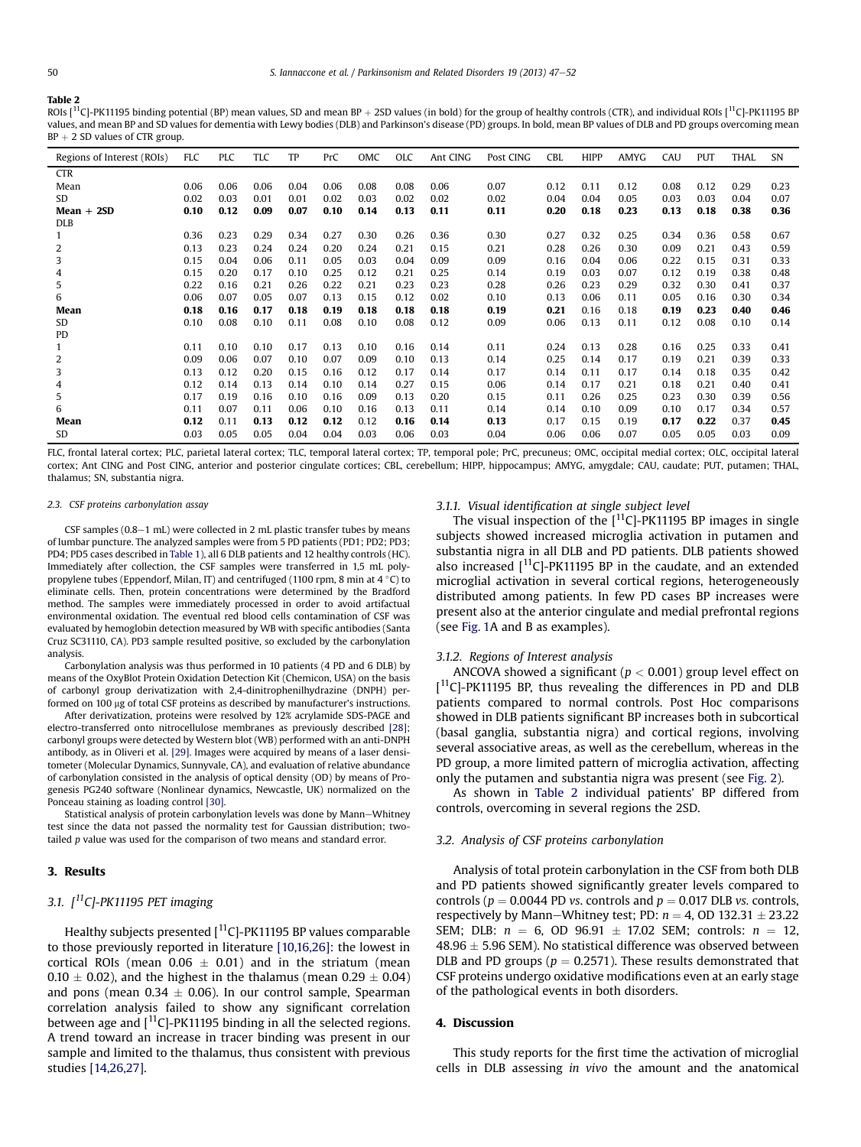#### <span id="page-3-0"></span>Table 2

ROIs [<sup>11</sup>C]-PK11195 binding potential (BP) mean values, SD and mean BP + 2SD values (in bold) for the group of healthy controls (CTR), and individual ROIs [<sup>11</sup>C]-PK11195 BP values, and mean BP and SD values for dementia with Lewy bodies (DLB) and Parkinson's disease (PD) groups. In bold, mean BP values of DLB and PD groups overcoming mean  $BP + 2 SD$  values of CTR group.

| Regions of Interest (ROIs) | FLC  | <b>PLC</b> | TLC  | TP   | PrC  | OMC  | <b>OLC</b> | Ant CING | Post CING | CBL  | <b>HIPP</b> | AMYG | CAU  | <b>PUT</b> | <b>THAL</b> | <b>SN</b> |
|----------------------------|------|------------|------|------|------|------|------------|----------|-----------|------|-------------|------|------|------------|-------------|-----------|
| <b>CTR</b>                 |      |            |      |      |      |      |            |          |           |      |             |      |      |            |             |           |
| Mean                       | 0.06 | 0.06       | 0.06 | 0.04 | 0.06 | 0.08 | 0.08       | 0.06     | 0.07      | 0.12 | 0.11        | 0.12 | 0.08 | 0.12       | 0.29        | 0.23      |
| SD.                        | 0.02 | 0.03       | 0.01 | 0.01 | 0.02 | 0.03 | 0.02       | 0.02     | 0.02      | 0.04 | 0.04        | 0.05 | 0.03 | 0.03       | 0.04        | 0.07      |
| $Mean + 2SD$               | 0.10 | 0.12       | 0.09 | 0.07 | 0.10 | 0.14 | 0.13       | 0.11     | 0.11      | 0.20 | 0.18        | 0.23 | 0.13 | 0.18       | 0.38        | 0.36      |
| <b>DLB</b>                 |      |            |      |      |      |      |            |          |           |      |             |      |      |            |             |           |
| $\mathbf{1}$               | 0.36 | 0.23       | 0.29 | 0.34 | 0.27 | 0.30 | 0.26       | 0.36     | 0.30      | 0.27 | 0.32        | 0.25 | 0.34 | 0.36       | 0.58        | 0.67      |
| 2                          | 0.13 | 0.23       | 0.24 | 0.24 | 0.20 | 0.24 | 0.21       | 0.15     | 0.21      | 0.28 | 0.26        | 0.30 | 0.09 | 0.21       | 0.43        | 0.59      |
| 3                          | 0.15 | 0.04       | 0.06 | 0.11 | 0.05 | 0.03 | 0.04       | 0.09     | 0.09      | 0.16 | 0.04        | 0.06 | 0.22 | 0.15       | 0.31        | 0.33      |
| 4                          | 0.15 | 0.20       | 0.17 | 0.10 | 0.25 | 0.12 | 0.21       | 0.25     | 0.14      | 0.19 | 0.03        | 0.07 | 0.12 | 0.19       | 0.38        | 0.48      |
| 5                          | 0.22 | 0.16       | 0.21 | 0.26 | 0.22 | 0.21 | 0.23       | 0.23     | 0.28      | 0.26 | 0.23        | 0.29 | 0.32 | 0.30       | 0.41        | 0.37      |
| 6                          | 0.06 | 0.07       | 0.05 | 0.07 | 0.13 | 0.15 | 0.12       | 0.02     | 0.10      | 0.13 | 0.06        | 0.11 | 0.05 | 0.16       | 0.30        | 0.34      |
| Mean                       | 0.18 | 0.16       | 0.17 | 0.18 | 0.19 | 0.18 | 0.18       | 0.18     | 0.19      | 0.21 | 0.16        | 0.18 | 0.19 | 0.23       | 0.40        | 0.46      |
| SD                         | 0.10 | 0.08       | 0.10 | 0.11 | 0.08 | 0.10 | 0.08       | 0.12     | 0.09      | 0.06 | 0.13        | 0.11 | 0.12 | 0.08       | 0.10        | 0.14      |
| PD                         |      |            |      |      |      |      |            |          |           |      |             |      |      |            |             |           |
|                            | 0.11 | 0.10       | 0.10 | 0.17 | 0.13 | 0.10 | 0.16       | 0.14     | 0.11      | 0.24 | 0.13        | 0.28 | 0.16 | 0.25       | 0.33        | 0.41      |
| 2                          | 0.09 | 0.06       | 0.07 | 0.10 | 0.07 | 0.09 | 0.10       | 0.13     | 0.14      | 0.25 | 0.14        | 0.17 | 0.19 | 0.21       | 0.39        | 0.33      |
| 3                          | 0.13 | 0.12       | 0.20 | 0.15 | 0.16 | 0.12 | 0.17       | 0.14     | 0.17      | 0.14 | 0.11        | 0.17 | 0.14 | 0.18       | 0.35        | 0.42      |
| 4                          | 0.12 | 0.14       | 0.13 | 0.14 | 0.10 | 0.14 | 0.27       | 0.15     | 0.06      | 0.14 | 0.17        | 0.21 | 0.18 | 0.21       | 0.40        | 0.41      |
| 5                          | 0.17 | 0.19       | 0.16 | 0.10 | 0.16 | 0.09 | 0.13       | 0.20     | 0.15      | 0.11 | 0.26        | 0.25 | 0.23 | 0.30       | 0.39        | 0.56      |
| 6                          | 0.11 | 0.07       | 0.11 | 0.06 | 0.10 | 0.16 | 0.13       | 0.11     | 0.14      | 0.14 | 0.10        | 0.09 | 0.10 | 0.17       | 0.34        | 0.57      |
| Mean                       | 0.12 | 0.11       | 0.13 | 0.12 | 0.12 | 0.12 | 0.16       | 0.14     | 0.13      | 0.17 | 0.15        | 0.19 | 0.17 | 0.22       | 0.37        | 0.45      |
| SD                         | 0.03 | 0.05       | 0.05 | 0.04 | 0.04 | 0.03 | 0.06       | 0.03     | 0.04      | 0.06 | 0.06        | 0.07 | 0.05 | 0.05       | 0.03        | 0.09      |

FLC, frontal lateral cortex; PLC, parietal lateral cortex; TLC, temporal lateral cortex; TP, temporal pole; PrC, precuneus; OMC, occipital medial cortex; OLC, occipital lateral cortex; Ant CING and Post CING, anterior and posterior cingulate cortices; CBL, cerebellum; HIPP, hippocampus; AMYG, amygdale; CAU, caudate; PUT, putamen; THAL, thalamus; SN, substantia nigra.

#### 2.3. CSF proteins carbonylation assay

CSF samples  $(0.8-1$  mL) were collected in 2 mL plastic transfer tubes by means of lumbar puncture. The analyzed samples were from 5 PD patients (PD1; PD2; PD3; PD4; PD5 cases described in [Table 1\)](#page-1-0), all 6 DLB patients and 12 healthy controls (HC). Immediately after collection, the CSF samples were transferred in 1,5 mL polypropylene tubes (Eppendorf, Milan, IT) and centrifuged (1100 rpm, 8 min at 4  $\degree$ C) to eliminate cells. Then, protein concentrations were determined by the Bradford method. The samples were immediately processed in order to avoid artifactual environmental oxidation. The eventual red blood cells contamination of CSF was evaluated by hemoglobin detection measured by WB with specific antibodies (Santa Cruz SC31110, CA). PD3 sample resulted positive, so excluded by the carbonylation analysis.

Carbonylation analysis was thus performed in 10 patients (4 PD and 6 DLB) by means of the OxyBlot Protein Oxidation Detection Kit (Chemicon, USA) on the basis of carbonyl group derivatization with 2,4-dinitrophenilhydrazine (DNPH) performed on 100 µg of total CSF proteins as described by manufacturer's instructions.

After derivatization, proteins were resolved by 12% acrylamide SDS-PAGE and electro-transferred onto nitrocellulose membranes as previously described [\[28\];](#page-5-0) carbonyl groups were detected by Western blot (WB) performed with an anti-DNPH antibody, as in Oliveri et al. [\[29\].](#page-5-0) Images were acquired by means of a laser densitometer (Molecular Dynamics, Sunnyvale, CA), and evaluation of relative abundance of carbonylation consisted in the analysis of optical density (OD) by means of Progenesis PG240 software (Nonlinear dynamics, Newcastle, UK) normalized on the Ponceau staining as loading control [\[30\].](#page-5-0)

Statistical analysis of protein carbonylation levels was done by Mann-Whitney test since the data not passed the normality test for Gaussian distribution; twotailed p value was used for the comparison of two means and standard error.

# 3. Results

# 3.1.  $\int$ <sup>11</sup>C]-PK11195 PET imaging

Healthy subjects presented  $[$ <sup>11</sup>C]-PK11195 BP values comparable to those previously reported in literature [\[10,16,26\]](#page-5-0): the lowest in cortical ROIs (mean  $0.06 \pm 0.01$ ) and in the striatum (mean  $0.10 \pm 0.02$ ), and the highest in the thalamus (mean  $0.29 \pm 0.04)$ and pons (mean  $0.34 \pm 0.06$ ). In our control sample, Spearman correlation analysis failed to show any significant correlation between age and  $\left[$ <sup>11</sup>C]-PK11195 binding in all the selected regions. A trend toward an increase in tracer binding was present in our sample and limited to the thalamus, thus consistent with previous studies [\[14,26,27\].](#page-5-0)

# 3.1.1. Visual identification at single subject level

The visual inspection of the  $[$ <sup>11</sup>C]-PK11195 BP images in single subjects showed increased microglia activation in putamen and substantia nigra in all DLB and PD patients. DLB patients showed also increased  $[$ <sup>11</sup>C]-PK11195 BP in the caudate, and an extended microglial activation in several cortical regions, heterogeneously distributed among patients. In few PD cases BP increases were present also at the anterior cingulate and medial prefrontal regions (see [Fig. 1](#page-2-0)A and B as examples).

## 3.1.2. Regions of Interest analysis

ANCOVA showed a significant ( $p < 0.001$ ) group level effect on [<sup>11</sup>C]-PK11195 BP, thus revealing the differences in PD and DLB patients compared to normal controls. Post Hoc comparisons showed in DLB patients significant BP increases both in subcortical (basal ganglia, substantia nigra) and cortical regions, involving several associative areas, as well as the cerebellum, whereas in the PD group, a more limited pattern of microglia activation, affecting only the putamen and substantia nigra was present (see [Fig. 2\)](#page-4-0).

As shown in Table 2 individual patients' BP differed from controls, overcoming in several regions the 2SD.

# 3.2. Analysis of CSF proteins carbonylation

Analysis of total protein carbonylation in the CSF from both DLB and PD patients showed significantly greater levels compared to controls ( $p = 0.0044$  PD vs. controls and  $p = 0.017$  DLB vs. controls, respectively by Mann–Whitney test; PD:  $n = 4$ , OD 132.31  $\pm$  23.22 SEM; DLB:  $n = 6$ , OD 96.91  $\pm$  17.02 SEM; controls:  $n = 12$ ,  $48.96 \pm 5.96$  SEM). No statistical difference was observed between DLB and PD groups ( $p = 0.2571$ ). These results demonstrated that CSF proteins undergo oxidative modifications even at an early stage of the pathological events in both disorders.

# 4. Discussion

This study reports for the first time the activation of microglial cells in DLB assessing in vivo the amount and the anatomical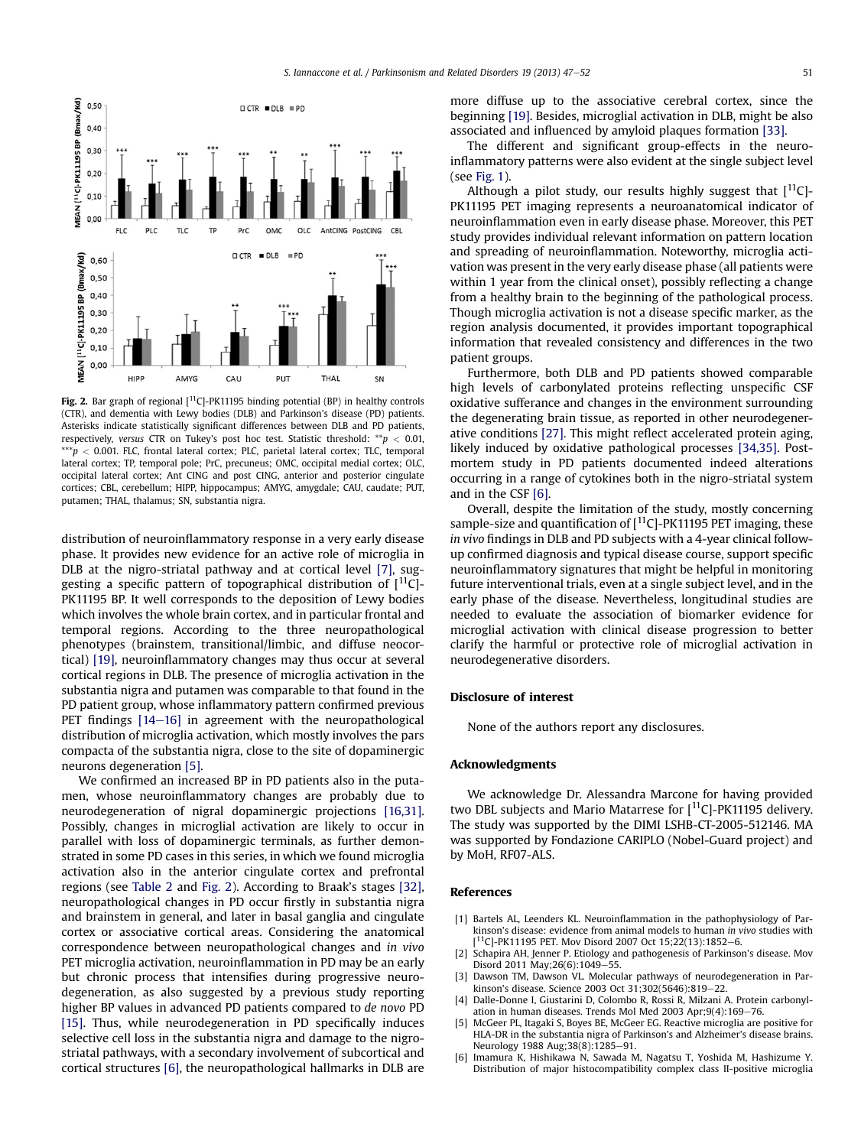<span id="page-4-0"></span>

Fig. 2. Bar graph of regional  $[11C]$ -PK11195 binding potential (BP) in healthy controls (CTR), and dementia with Lewy bodies (DLB) and Parkinson's disease (PD) patients. Asterisks indicate statistically significant differences between DLB and PD patients, respectively, versus CTR on Tukey's post hoc test. Statistic threshold:  $* p < 0.01$ ,  $^{***}p$  < 0.001. FLC, frontal lateral cortex; PLC, parietal lateral cortex; TLC, temporal lateral cortex; TP, temporal pole; PrC, precuneus; OMC, occipital medial cortex; OLC, occipital lateral cortex; Ant CING and post CING, anterior and posterior cingulate cortices; CBL, cerebellum; HIPP, hippocampus; AMYG, amygdale; CAU, caudate; PUT, putamen; THAL, thalamus; SN, substantia nigra.

distribution of neuroinflammatory response in a very early disease phase. It provides new evidence for an active role of microglia in DLB at the nigro-striatal pathway and at cortical level [\[7\]](#page-5-0), suggesting a specific pattern of topographical distribution of  $[11C]$ -PK11195 BP. It well corresponds to the deposition of Lewy bodies which involves the whole brain cortex, and in particular frontal and temporal regions. According to the three neuropathological phenotypes (brainstem, transitional/limbic, and diffuse neocortical) [\[19\]](#page-5-0), neuroinflammatory changes may thus occur at several cortical regions in DLB. The presence of microglia activation in the substantia nigra and putamen was comparable to that found in the PD patient group, whose inflammatory pattern confirmed previous PET findings  $[14-16]$  $[14-16]$  $[14-16]$  in agreement with the neuropathological distribution of microglia activation, which mostly involves the pars compacta of the substantia nigra, close to the site of dopaminergic neurons degeneration [5].

We confirmed an increased BP in PD patients also in the putamen, whose neuroinflammatory changes are probably due to neurodegeneration of nigral dopaminergic projections [\[16,31\].](#page-5-0) Possibly, changes in microglial activation are likely to occur in parallel with loss of dopaminergic terminals, as further demonstrated in some PD cases in this series, in which we found microglia activation also in the anterior cingulate cortex and prefrontal regions (see [Table 2](#page-3-0) and Fig. 2). According to Braak's stages [\[32\],](#page-5-0) neuropathological changes in PD occur firstly in substantia nigra and brainstem in general, and later in basal ganglia and cingulate cortex or associative cortical areas. Considering the anatomical correspondence between neuropathological changes and in vivo PET microglia activation, neuroinflammation in PD may be an early but chronic process that intensifies during progressive neurodegeneration, as also suggested by a previous study reporting higher BP values in advanced PD patients compared to de novo PD [\[15\]](#page-5-0). Thus, while neurodegeneration in PD specifically induces selective cell loss in the substantia nigra and damage to the nigrostriatal pathways, with a secondary involvement of subcortical and cortical structures [6], the neuropathological hallmarks in DLB are more diffuse up to the associative cerebral cortex, since the beginning [\[19\].](#page-5-0) Besides, microglial activation in DLB, might be also associated and influenced by amyloid plaques formation [\[33\].](#page-5-0)

The different and significant group-effects in the neuroinflammatory patterns were also evident at the single subject level (see [Fig. 1\)](#page-2-0).

Although a pilot study, our results highly suggest that  $[$ <sup>11</sup>C]-PK11195 PET imaging represents a neuroanatomical indicator of neuroinflammation even in early disease phase. Moreover, this PET study provides individual relevant information on pattern location and spreading of neuroinflammation. Noteworthy, microglia activation was present in the very early disease phase (all patients were within 1 year from the clinical onset), possibly reflecting a change from a healthy brain to the beginning of the pathological process. Though microglia activation is not a disease specific marker, as the region analysis documented, it provides important topographical information that revealed consistency and differences in the two patient groups.

Furthermore, both DLB and PD patients showed comparable high levels of carbonylated proteins reflecting unspecific CSF oxidative sufferance and changes in the environment surrounding the degenerating brain tissue, as reported in other neurodegenerative conditions [\[27\].](#page-5-0) This might reflect accelerated protein aging, likely induced by oxidative pathological processes [\[34,35\].](#page-5-0) Postmortem study in PD patients documented indeed alterations occurring in a range of cytokines both in the nigro-striatal system and in the CSF [6].

Overall, despite the limitation of the study, mostly concerning sample-size and quantification of  $\lceil 11C \rceil$ -PK11195 PET imaging, these in vivo findings in DLB and PD subjects with a 4-year clinical followup confirmed diagnosis and typical disease course, support specific neuroinflammatory signatures that might be helpful in monitoring future interventional trials, even at a single subject level, and in the early phase of the disease. Nevertheless, longitudinal studies are needed to evaluate the association of biomarker evidence for microglial activation with clinical disease progression to better clarify the harmful or protective role of microglial activation in neurodegenerative disorders.

# Disclosure of interest

None of the authors report any disclosures.

### Acknowledgments

We acknowledge Dr. Alessandra Marcone for having provided two DBL subjects and Mario Matarrese for  $[$ <sup>11</sup>C]-PK11195 delivery. The study was supported by the DIMI LSHB-CT-2005-512146. MA was supported by Fondazione CARIPLO (Nobel-Guard project) and by MoH, RF07-ALS.

#### References

- [1] Bartels AL, Leenders KL. Neuroinflammation in the pathophysiology of Parkinson's disease: evidence from animal models to human in vivo studies with [ <sup>11</sup>C]-PK11195 PET. Mov Disord 2007 Oct 15;22(13):1852–6
- [2] Schapira AH, Jenner P. Etiology and pathogenesis of Parkinson's disease. Mov Disord 2011 May; 26(6): 1049-55.
- [3] Dawson TM, Dawson VL. Molecular pathways of neurodegeneration in Parkinson's disease. Science 2003 Oct 31;302(5646):819-22
- [4] Dalle-Donne I, Giustarini D, Colombo R, Rossi R, Milzani A. Protein carbonylation in human diseases. Trends Mol Med 2003 Apr;9(4):169-76.
- McGeer PL, Itagaki S, Boyes BE, McGeer EG. Reactive microglia are positive for HLA-DR in the substantia nigra of Parkinson's and Alzheimer's disease brains. Neurology 1988 Aug;38(8):1285-91.
- [6] Imamura K, Hishikawa N, Sawada M, Nagatsu T, Yoshida M, Hashizume Y. Distribution of major histocompatibility complex class II-positive microglia